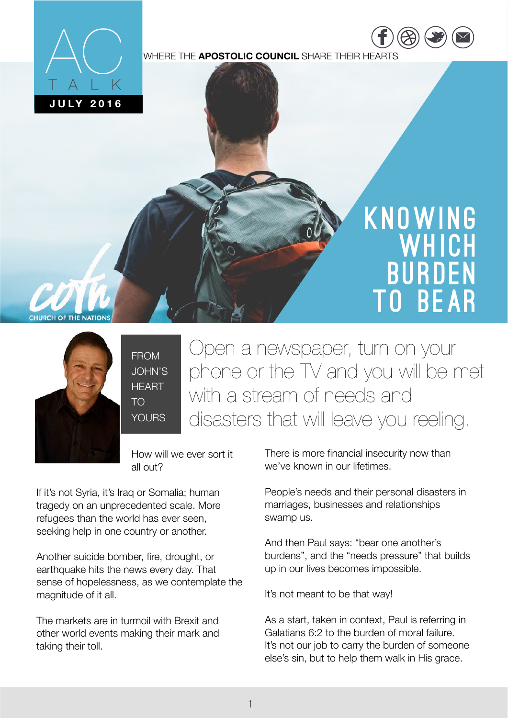

WHERE THE **APOSTOLIC COUNCIL** SHARE THEIR HEARTS

# **KNOWING WHICH** Burden to Bear

[https://](https://www.facebook.com/COTNATIONS) ww.fac

 $\overline{\phantom{a}}$ [twitter.com](https://twitter.com/COTNations) [/](https://twitter.com/COTNations)  $(\triangle \triangle)$  ( $\square$ ) ( $\square$ 



 $\overline{\phantom{a}}$ FROM JOHN'S **HEART** TO YOURS.

Open a newspaper, turn on your phone or the TV and you will be met with a stream of needs and disasters that will leave you reeling.

How will we ever sort it all out?

If it's not Syria, it's Iraq or Somalia; human tragedy on an unprecedented scale. More refugees than the world has ever seen, seeking help in one country or another.

Another suicide bomber, fire, drought, or earthquake hits the news every day. That sense of hopelessness, as we contemplate the magnitude of it all.

The markets are in turmoil with Brexit and other world events making their mark and taking their toll.

There is more financial insecurity now than we've known in our lifetimes.

People's needs and their personal disasters in marriages, businesses and relationships swamp us.

And then Paul says: "bear one another's burdens", and the "needs pressure" that builds up in our lives becomes impossible.

It's not meant to be that way!

As a start, taken in context, Paul is referring in Galatians 6:2 to the burden of moral failure. It's not our job to carry the burden of someone else's sin, but to help them walk in His grace.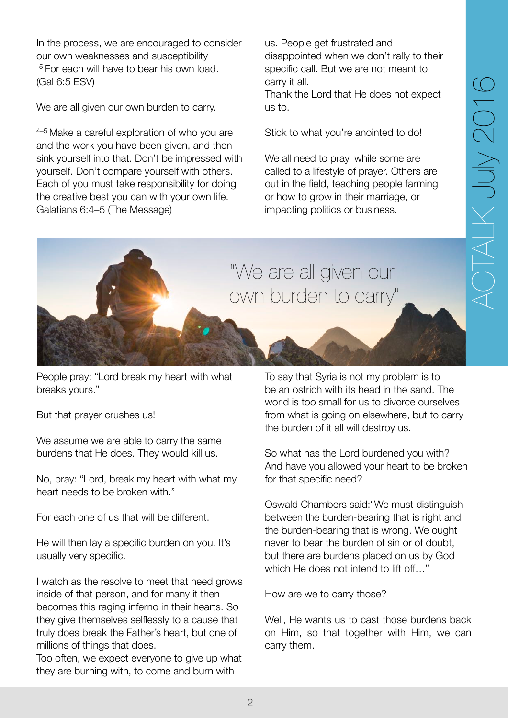In the process, we are encouraged to consider our own weaknesses and susceptibility <sup>5</sup> For each will have to bear his own load. (Gal 6:5 ESV)

We are all given our own burden to carry.

 $4-5$  Make a careful exploration of who you are and the work you have been given, and then sink yourself into that. Don't be impressed with yourself. Don't compare yourself with others. Each of you must take responsibility for doing the creative best you can with your own life. Galatians 6:4–5 (The Message)

us. People get frustrated and disappointed when we don't rally to their specific call. But we are not meant to carry it all.

Thank the Lord that He does not expect us to.

Stick to what you're anointed to do!

We all need to pray, while some are called to a lifestyle of prayer. Others are out in the field, teaching people farming or how to grow in their marriage, or impacting politics or business.



People pray: "Lord break my heart with what breaks yours."

But that prayer crushes us!

We assume we are able to carry the same burdens that He does. They would kill us.

No, pray: "Lord, break my heart with what my heart needs to be broken with."

For each one of us that will be different.

He will then lay a specific burden on you. It's usually very specific.

I watch as the resolve to meet that need grows inside of that person, and for many it then becomes this raging inferno in their hearts. So they give themselves selflessly to a cause that truly does break the Father's heart, but one of millions of things that does.

Too often, we expect everyone to give up what they are burning with, to come and burn with

To say that Syria is not my problem is to be an ostrich with its head in the sand. The world is too small for us to divorce ourselves from what is going on elsewhere, but to carry the burden of it all will destroy us.

So what has the Lord burdened you with? And have you allowed your heart to be broken for that specific need?

Oswald Chambers said:"We must distinguish between the burden-bearing that is right and the burden-bearing that is wrong. We ought never to bear the burden of sin or of doubt, but there are burdens placed on us by God which He does not intend to lift off…"

How are we to carry those?

Well, He wants us to cast those burdens back on Him, so that together with Him, we can carry them.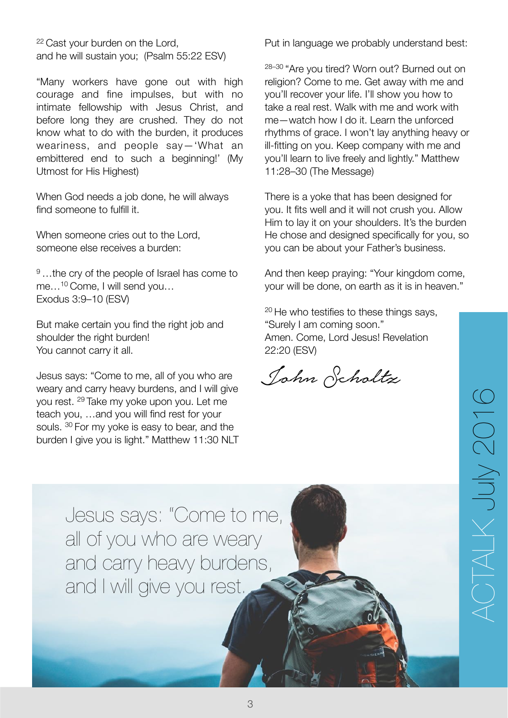22 Cast your burden on the Lord. and he will sustain you; (Psalm 55:22 ESV)

"Many workers have gone out with high courage and fine impulses, but with no intimate fellowship with Jesus Christ, and before long they are crushed. They do not know what to do with the burden, it produces weariness, and people say—'What an embittered end to such a beginning!' (My Utmost for His Highest)

When God needs a job done, he will always find someone to fulfill it.

When someone cries out to the Lord, someone else receives a burden:

<sup>9</sup>...the cry of the people of Israel has come to me…10 Come, I will send you… Exodus 3:9–10 (ESV)

But make certain you find the right job and shoulder the right burden! You cannot carry it all.

Jesus says: "Come to me, all of you who are weary and carry heavy burdens, and I will give you rest. 29 Take my yoke upon you. Let me teach you, …and you will find rest for your souls. 30 For my yoke is easy to bear, and the burden I give you is light." Matthew 11:30 NLT Put in language we probably understand best:

28–30 "Are you tired? Worn out? Burned out on religion? Come to me. Get away with me and you'll recover your life. I'll show you how to take a real rest. Walk with me and work with me—watch how I do it. Learn the unforced rhythms of grace. I won't lay anything heavy or ill-fitting on you. Keep company with me and you'll learn to live freely and lightly." Matthew 11:28–30 (The Message)

There is a yoke that has been designed for you. It fits well and it will not crush you. Allow Him to lay it on your shoulders. It's the burden He chose and designed specifically for you, so you can be about your Father's business.

And then keep praying: "Your kingdom come, your will be done, on earth as it is in heaven."

<sup>20</sup> He who testifies to these things says, "Surely I am coming soon." Amen. Come, Lord Jesus! Revelation 22:20 (ESV)

John Scholtz

Jesus says: "Come to me, all of you who are weary and carry heavy burdens, and I will give you rest.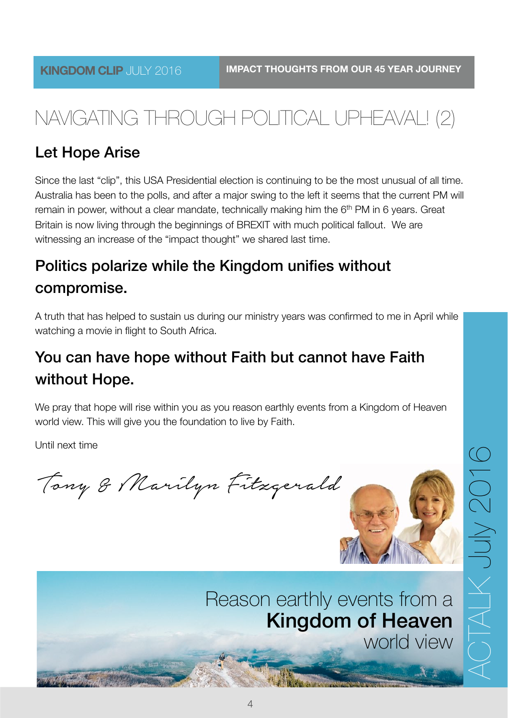# NAVIGATING THROUGH POLITICAL UPHEAVAL! (2)

#### Let Hope Arise

Since the last "clip", this USA Presidential election is continuing to be the most unusual of all time. Australia has been to the polls, and after a major swing to the left it seems that the current PM will remain in power, without a clear mandate, technically making him the  $6<sup>th</sup>$  PM in 6 years. Great Britain is now living through the beginnings of BREXIT with much political fallout. We are witnessing an increase of the "impact thought" we shared last time.

## Politics polarize while the Kingdom unifies without compromise.

A truth that has helped to sustain us during our ministry years was confirmed to me in April while watching a movie in flight to South Africa.

### You can have hope without Faith but cannot have Faith without Hope.

We pray that hope will rise within you as you reason earthly events from a Kingdom of Heaven world view. This will give you the foundation to live by Faith.

Until next time

Tony & Marilyn Fitzgerald



# Reason earthly events from a Kingdom of Heaven

world view